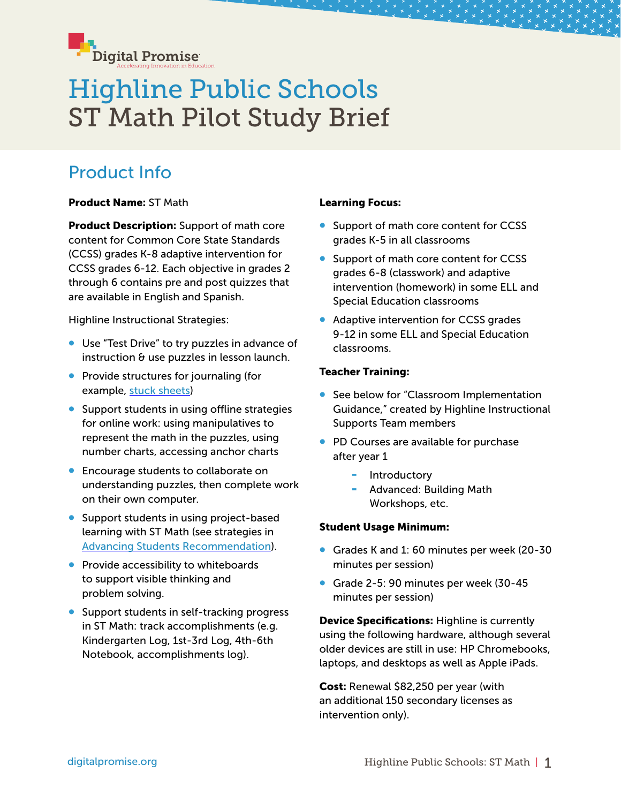

# Highline Public Schools ST Math Pilot Study Brief

# Product Info

Product Name: ST Math

**Product Description:** Support of math core content for Common Core State Standards (CCSS) grades K-8 adaptive intervention for CCSS grades 6-12. Each objective in grades 2 through 6 contains pre and post quizzes that are available in English and Spanish.

Highline Instructional Strategies:

- Use "Test Drive" to try puzzles in advance of instruction & use puzzles in lesson launch.
- Provide structures for journaling (for example, [stuck sheets](https://dlassets.stmath.com/pdfs/trs/stuck_student_journal.pdf))
- Support students in using offline strategies for online work: using manipulatives to represent the math in the puzzles, using number charts, accessing anchor charts
- Encourage students to collaborate on understanding puzzles, then complete work on their own computer.
- Support students in using project-based learning with ST Math (see strategies in [Advancing Students Recommendation](https://drive.google.com/open?id=18qaUw3cxUMtCTzM1Y3fl9sO2h_AeEsksg6GLGR9wXao)).
- Provide accessibility to whiteboards to support visible thinking and problem solving.
- Support students in self-tracking progress in ST Math: track accomplishments (e.g. Kindergarten Log, 1st-3rd Log, 4th-6th Notebook, accomplishments log).

#### Learning Focus:

- Support of math core content for CCSS grades K-5 in all classrooms
- Support of math core content for CCSS grades 6-8 (classwork) and adaptive intervention (homework) in some ELL and Special Education classrooms
- Adaptive intervention for CCSS grades 9-12 in some ELL and Special Education classrooms.

#### Teacher Training:

- See below for "Classroom Implementation Guidance," created by Highline Instructional Supports Team members
- PD Courses are available for purchase after year 1
	- **Introductory**
	- Advanced: Building Math Workshops, etc.

#### Student Usage Minimum:

- Grades K and 1: 60 minutes per week (20-30 minutes per session)
- Grade 2-5: 90 minutes per week (30-45 minutes per session)

Device Specifications: Highline is currently using the following hardware, although several older devices are still in use: HP Chromebooks, laptops, and desktops as well as Apple iPads.

Cost: Renewal \$82,250 per year (with an additional 150 secondary licenses as intervention only).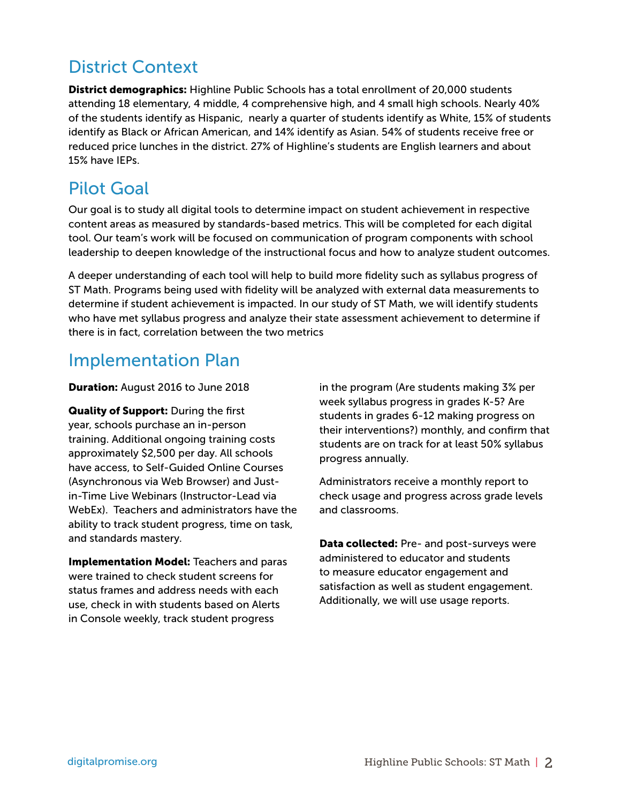# District Context

**District demographics:** Highline Public Schools has a total enrollment of 20,000 students attending 18 elementary, 4 middle, 4 comprehensive high, and 4 small high schools. Nearly 40% of the students identify as Hispanic, nearly a quarter of students identify as White, 15% of students identify as Black or African American, and 14% identify as Asian. 54% of students receive free or reduced price lunches in the district. 27% of Highline's students are English learners and about 15% have IEPs.

## Pilot Goal

Our goal is to study all digital tools to determine impact on student achievement in respective content areas as measured by standards-based metrics. This will be completed for each digital tool. Our team's work will be focused on communication of program components with school leadership to deepen knowledge of the instructional focus and how to analyze student outcomes.

A deeper understanding of each tool will help to build more fidelity such as syllabus progress of ST Math. Programs being used with fidelity will be analyzed with external data measurements to determine if student achievement is impacted. In our study of ST Math, we will identify students who have met syllabus progress and analyze their state assessment achievement to determine if there is in fact, correlation between the two metrics

### Implementation Plan

#### Duration: August 2016 to June 2018

Quality of Support: During the first year, schools purchase an in-person training. Additional ongoing training costs approximately \$2,500 per day. All schools have access, to Self-Guided Online Courses (Asynchronous via Web Browser) and Justin-Time Live Webinars (Instructor-Lead via WebEx). Teachers and administrators have the ability to track student progress, time on task, and standards mastery.

**Implementation Model: Teachers and paras** were trained to check student screens for status frames and address needs with each use, check in with students based on Alerts in Console weekly, track student progress

in the program (Are students making 3% per week syllabus progress in grades K-5? Are students in grades 6-12 making progress on their interventions?) monthly, and confirm that students are on track for at least 50% syllabus progress annually.

Administrators receive a monthly report to check usage and progress across grade levels and classrooms.

Data collected: Pre- and post-surveys were administered to educator and students to measure educator engagement and satisfaction as well as student engagement. Additionally, we will use usage reports.